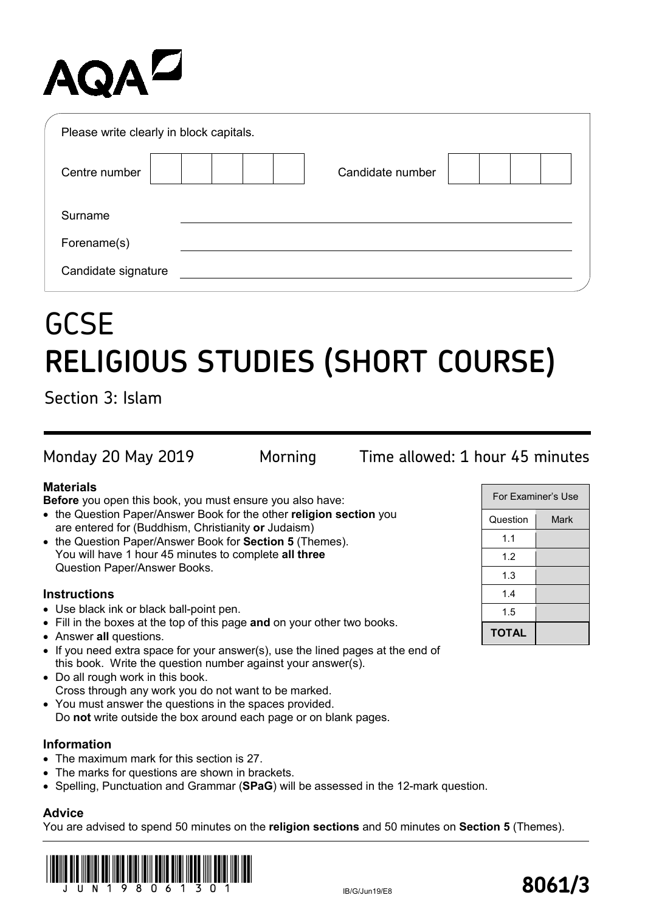# AQA<sup>D</sup>

| Please write clearly in block capitals. |                  |  |  |  |  |
|-----------------------------------------|------------------|--|--|--|--|
| Centre number                           | Candidate number |  |  |  |  |
| Surname                                 |                  |  |  |  |  |
| Forename(s)                             |                  |  |  |  |  |
| Candidate signature                     |                  |  |  |  |  |

## **GCSE RELIGIOUS STUDIES (SHORT COURSE)**

Section 3: Islam

Monday 20 May 2019 Morning Time allowed: 1 hour 45 minutes

### **Materials**

**Before** you open this book, you must ensure you also have:

- the Question Paper/Answer Book for the other **religion section** you are entered for (Buddhism, Christianity **or** Judaism)
- the Question Paper/Answer Book for **Section 5** (Themes). You will have 1 hour 45 minutes to complete **all three** Question Paper/Answer Books.

#### **Instructions**

- Use black ink or black ball-point pen.
- Fill in the boxes at the top of this page **and** on your other two books.
- Answer **all** questions.
- If you need extra space for your answer(s), use the lined pages at the end of this book. Write the question number against your answer(s).
- Do all rough work in this book. Cross through any work you do not want to be marked.
- You must answer the questions in the spaces provided.
- Do **not** write outside the box around each page or on blank pages.

#### **Information**

- The maximum mark for this section is 27.
- The marks for questions are shown in brackets.
- Spelling, Punctuation and Grammar (**SPaG**) will be assessed in the 12-mark question.

#### **Advice**

You are advised to spend 50 minutes on the **religion sections** and 50 minutes on **Section 5** (Themes).





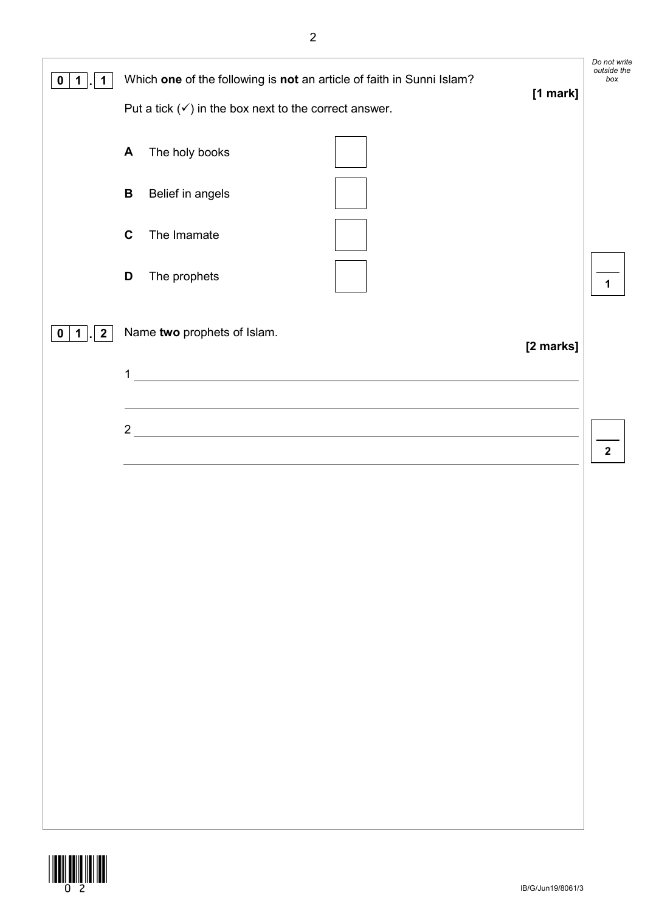| $\mathbf 1$<br>U                             | Which one of the following is not an article of faith in Sunni Islam?<br>[1 mark]<br>Put a tick $(\checkmark)$ in the box next to the correct answer.<br>The holy books<br>A<br>Belief in angels<br>$\, {\bf B}$<br>The Imamate<br>$\mathbf C$<br>The prophets<br>D | Do not write<br>outside the<br>box<br>1 |
|----------------------------------------------|---------------------------------------------------------------------------------------------------------------------------------------------------------------------------------------------------------------------------------------------------------------------|-----------------------------------------|
| 2 <sup>1</sup><br>$\mathbf 1$<br>$\mathbf 0$ | Name two prophets of Islam.<br>[2 marks]                                                                                                                                                                                                                            |                                         |
|                                              | 1<br>$2 \overline{ }$                                                                                                                                                                                                                                               | $\mathbf{2}$                            |
|                                              | <u> 1989 - Johann Stoff, deutscher Stoff, der Stoff, der Stoff, der Stoff, der Stoff, der Stoff, der Stoff, der S</u>                                                                                                                                               |                                         |
|                                              |                                                                                                                                                                                                                                                                     |                                         |
|                                              |                                                                                                                                                                                                                                                                     |                                         |
|                                              |                                                                                                                                                                                                                                                                     |                                         |
|                                              |                                                                                                                                                                                                                                                                     |                                         |

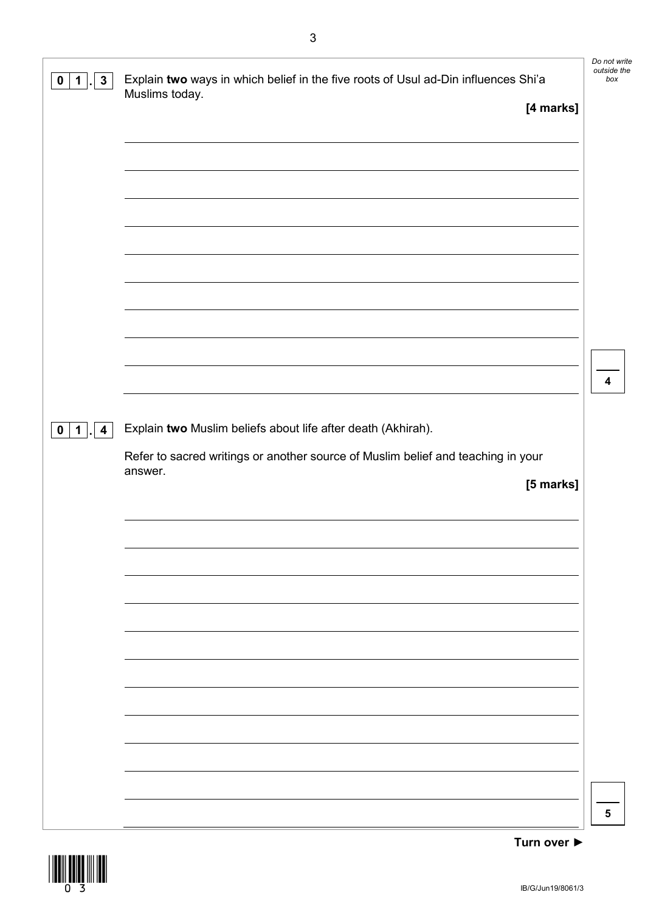| $\mathbf{3}$<br>0<br>1                                | Explain two ways in which belief in the five roots of Usul ad-Din influences Shi'a          | Do not write<br>outside the<br>box |
|-------------------------------------------------------|---------------------------------------------------------------------------------------------|------------------------------------|
|                                                       | Muslims today.<br>[4 marks]                                                                 |                                    |
|                                                       |                                                                                             |                                    |
|                                                       |                                                                                             |                                    |
|                                                       |                                                                                             |                                    |
|                                                       |                                                                                             |                                    |
|                                                       |                                                                                             |                                    |
|                                                       |                                                                                             |                                    |
|                                                       |                                                                                             |                                    |
|                                                       |                                                                                             |                                    |
|                                                       |                                                                                             | 4                                  |
| $\overline{\mathbf{4}}$<br>$\mathbf 0$<br>$\mathbf 1$ | Explain two Muslim beliefs about life after death (Akhirah).                                |                                    |
|                                                       | Refer to sacred writings or another source of Muslim belief and teaching in your<br>answer. |                                    |
|                                                       | [5 marks]                                                                                   |                                    |
|                                                       |                                                                                             |                                    |
|                                                       |                                                                                             |                                    |
|                                                       |                                                                                             |                                    |
|                                                       |                                                                                             |                                    |
|                                                       |                                                                                             |                                    |
|                                                       |                                                                                             |                                    |
|                                                       |                                                                                             |                                    |
|                                                       |                                                                                             |                                    |
|                                                       |                                                                                             |                                    |
|                                                       |                                                                                             | 5                                  |

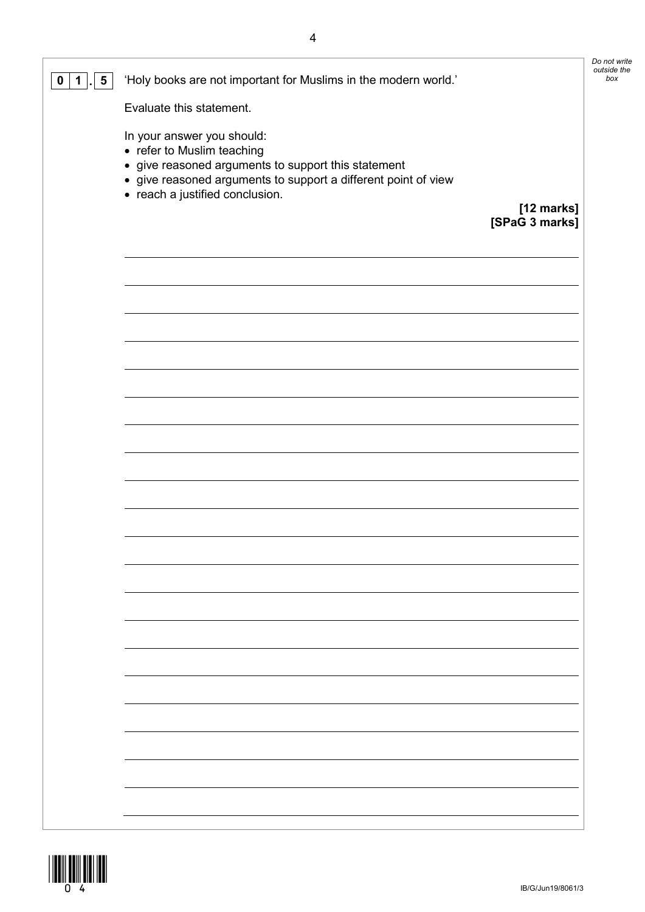|                                                  |                                                                                                                                                                                                                      |                | Do not write       |
|--------------------------------------------------|----------------------------------------------------------------------------------------------------------------------------------------------------------------------------------------------------------------------|----------------|--------------------|
| $5\phantom{.0}$<br>$\mathbf 0$<br>$\blacksquare$ | 'Holy books are not important for Muslims in the modern world.'                                                                                                                                                      |                | outside the<br>box |
|                                                  | Evaluate this statement.                                                                                                                                                                                             |                |                    |
|                                                  | In your answer you should:<br>• refer to Muslim teaching<br>• give reasoned arguments to support this statement<br>• give reasoned arguments to support a different point of view<br>• reach a justified conclusion. |                |                    |
|                                                  |                                                                                                                                                                                                                      | [12 marks]     |                    |
|                                                  |                                                                                                                                                                                                                      | [SPaG 3 marks] |                    |
|                                                  |                                                                                                                                                                                                                      |                |                    |
|                                                  |                                                                                                                                                                                                                      |                |                    |
|                                                  |                                                                                                                                                                                                                      |                |                    |
|                                                  |                                                                                                                                                                                                                      |                |                    |
|                                                  |                                                                                                                                                                                                                      |                |                    |
|                                                  |                                                                                                                                                                                                                      |                |                    |
|                                                  |                                                                                                                                                                                                                      |                |                    |
|                                                  |                                                                                                                                                                                                                      |                |                    |
|                                                  |                                                                                                                                                                                                                      |                |                    |
|                                                  |                                                                                                                                                                                                                      |                |                    |
|                                                  |                                                                                                                                                                                                                      |                |                    |
|                                                  |                                                                                                                                                                                                                      |                |                    |
|                                                  |                                                                                                                                                                                                                      |                |                    |
|                                                  |                                                                                                                                                                                                                      |                |                    |
|                                                  |                                                                                                                                                                                                                      |                |                    |
|                                                  |                                                                                                                                                                                                                      |                |                    |
|                                                  |                                                                                                                                                                                                                      |                |                    |
|                                                  |                                                                                                                                                                                                                      |                |                    |
|                                                  |                                                                                                                                                                                                                      |                |                    |
|                                                  |                                                                                                                                                                                                                      |                |                    |
|                                                  |                                                                                                                                                                                                                      |                |                    |
|                                                  |                                                                                                                                                                                                                      |                |                    |
|                                                  |                                                                                                                                                                                                                      |                |                    |
|                                                  |                                                                                                                                                                                                                      |                |                    |
|                                                  |                                                                                                                                                                                                                      |                |                    |
|                                                  |                                                                                                                                                                                                                      |                |                    |

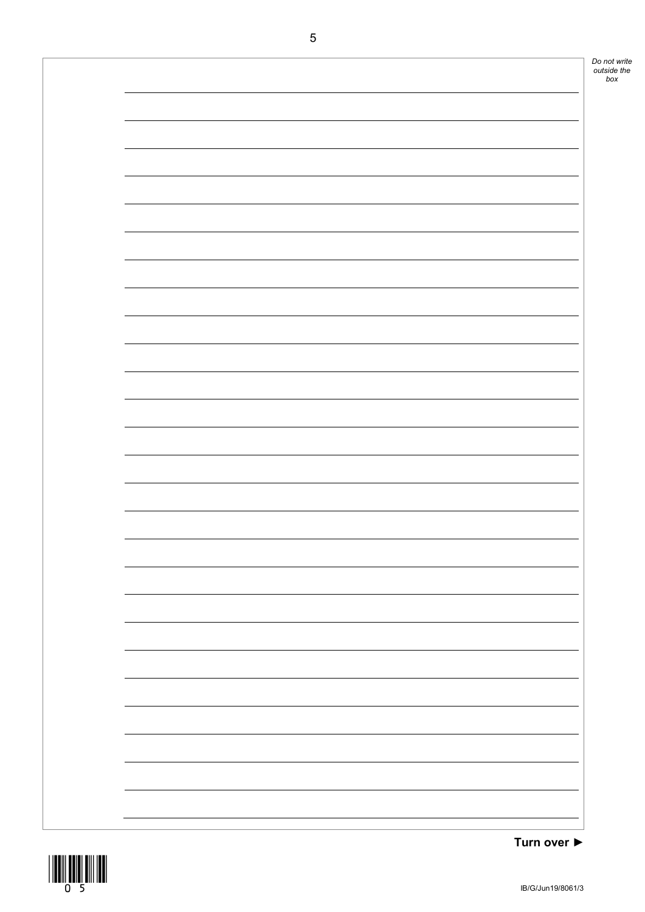

**Turn over ►**

*box*

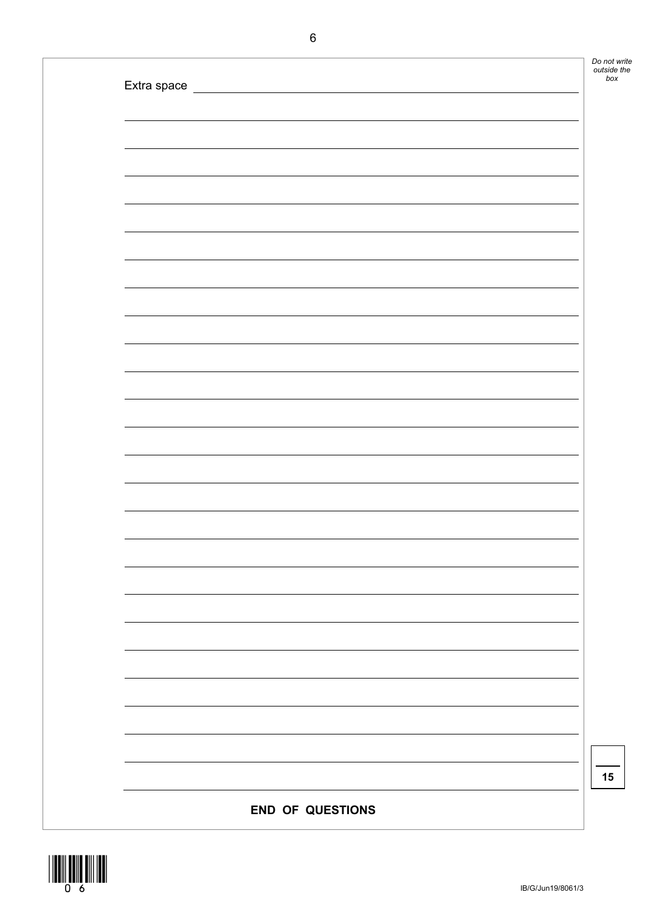

| Extra space<br><u> 1980 - Johann Barn, marwolaethau a bhann an t-Amhain Aonaichte an t-Amhain Aonaichte an t-Amhain Aonaichte a</u> | Do not write<br>outside the<br>box |
|-------------------------------------------------------------------------------------------------------------------------------------|------------------------------------|
|                                                                                                                                     |                                    |
|                                                                                                                                     |                                    |
|                                                                                                                                     |                                    |
|                                                                                                                                     |                                    |
|                                                                                                                                     |                                    |
|                                                                                                                                     |                                    |
|                                                                                                                                     |                                    |
|                                                                                                                                     |                                    |
|                                                                                                                                     |                                    |
|                                                                                                                                     |                                    |
|                                                                                                                                     |                                    |
|                                                                                                                                     |                                    |
|                                                                                                                                     |                                    |
|                                                                                                                                     |                                    |
|                                                                                                                                     |                                    |
|                                                                                                                                     |                                    |
|                                                                                                                                     |                                    |
|                                                                                                                                     |                                    |
|                                                                                                                                     |                                    |
|                                                                                                                                     |                                    |
|                                                                                                                                     |                                    |
|                                                                                                                                     |                                    |
|                                                                                                                                     |                                    |
|                                                                                                                                     |                                    |
|                                                                                                                                     | 15                                 |
| <b>END OF QUESTIONS</b>                                                                                                             |                                    |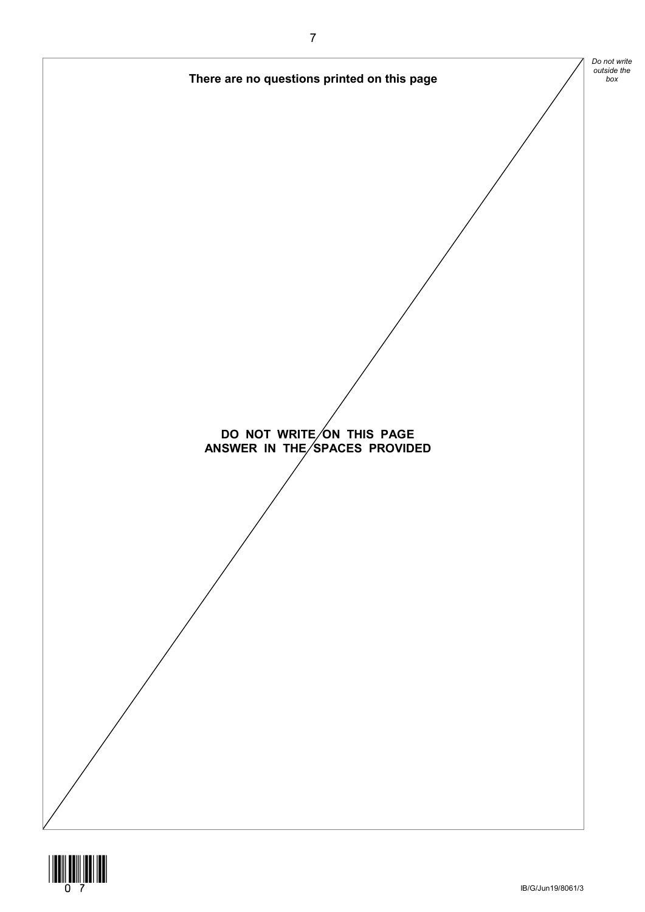

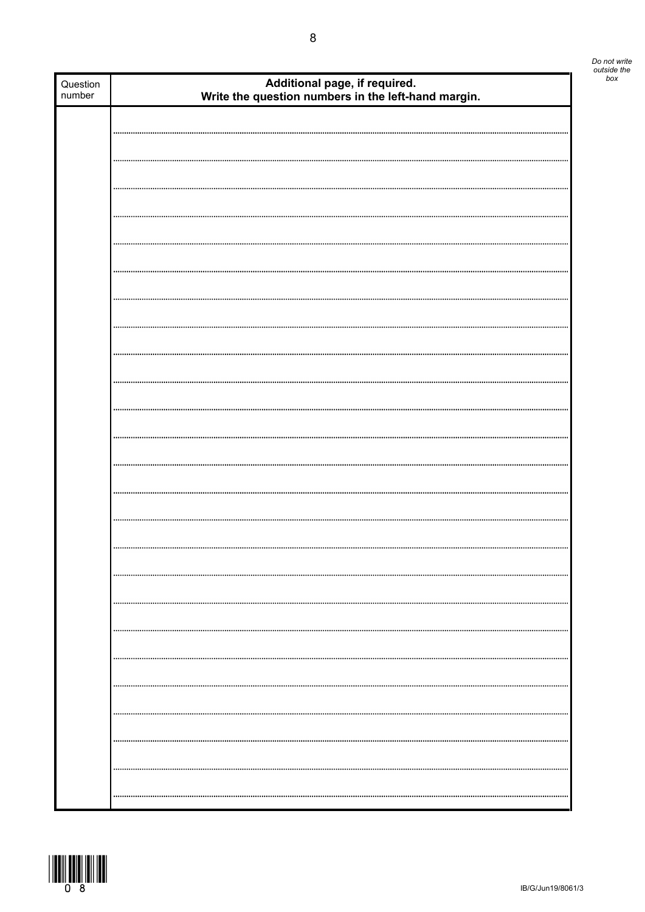| Do not write<br>outside the<br>box |
|------------------------------------|
|                                    |

| Question | Additional page, if required.<br>Write the question numbers in the left-hand margin. |  |
|----------|--------------------------------------------------------------------------------------|--|
| number   |                                                                                      |  |
|          |                                                                                      |  |
|          |                                                                                      |  |
|          |                                                                                      |  |
|          |                                                                                      |  |
|          |                                                                                      |  |
|          |                                                                                      |  |
|          |                                                                                      |  |
|          |                                                                                      |  |
|          |                                                                                      |  |
|          |                                                                                      |  |
|          |                                                                                      |  |
|          |                                                                                      |  |
|          |                                                                                      |  |
|          |                                                                                      |  |
|          |                                                                                      |  |
|          |                                                                                      |  |
|          |                                                                                      |  |
|          |                                                                                      |  |
|          |                                                                                      |  |
|          |                                                                                      |  |
|          |                                                                                      |  |
|          |                                                                                      |  |
|          |                                                                                      |  |
|          |                                                                                      |  |
|          |                                                                                      |  |
|          |                                                                                      |  |
|          |                                                                                      |  |
|          |                                                                                      |  |
|          |                                                                                      |  |
|          |                                                                                      |  |
|          |                                                                                      |  |
|          |                                                                                      |  |
|          |                                                                                      |  |
|          |                                                                                      |  |
|          |                                                                                      |  |
|          |                                                                                      |  |
|          |                                                                                      |  |
|          |                                                                                      |  |
|          | <br>                                                                                 |  |
|          |                                                                                      |  |
|          |                                                                                      |  |

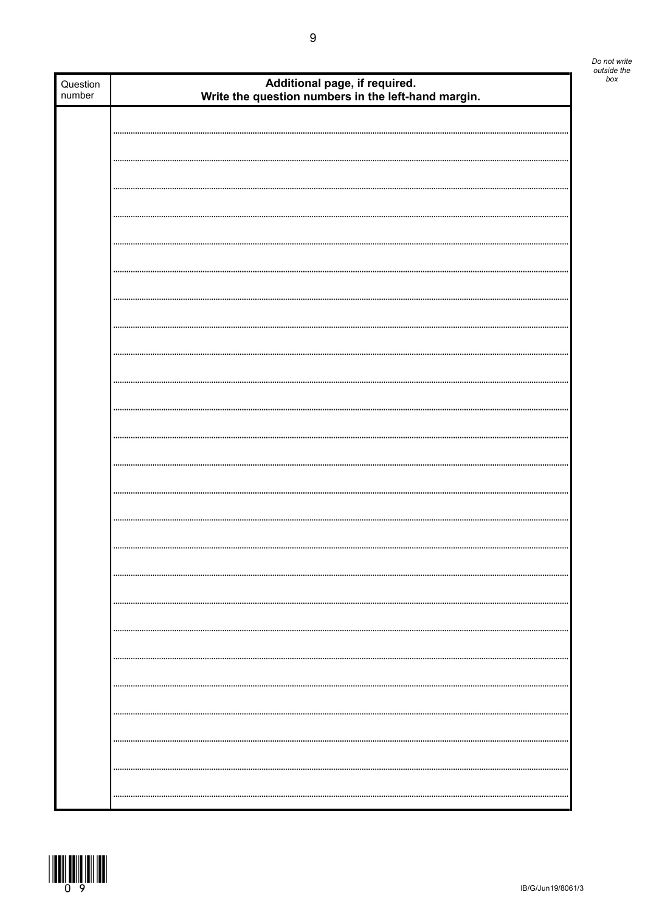| Do not write<br>outside the<br>box |
|------------------------------------|
|                                    |

| Question<br>number | Additional page, if required.<br>Write the question numbers in the left-hand margin. |  |
|--------------------|--------------------------------------------------------------------------------------|--|
|                    |                                                                                      |  |
|                    |                                                                                      |  |
|                    |                                                                                      |  |
|                    |                                                                                      |  |
|                    |                                                                                      |  |
|                    |                                                                                      |  |
|                    |                                                                                      |  |
|                    |                                                                                      |  |
|                    |                                                                                      |  |
|                    |                                                                                      |  |
|                    |                                                                                      |  |
|                    |                                                                                      |  |
|                    |                                                                                      |  |
|                    |                                                                                      |  |
|                    |                                                                                      |  |
|                    |                                                                                      |  |
|                    |                                                                                      |  |
|                    |                                                                                      |  |
|                    |                                                                                      |  |
|                    |                                                                                      |  |
|                    |                                                                                      |  |
|                    |                                                                                      |  |
|                    |                                                                                      |  |
|                    |                                                                                      |  |
|                    |                                                                                      |  |
|                    |                                                                                      |  |
|                    |                                                                                      |  |
|                    |                                                                                      |  |
|                    |                                                                                      |  |
|                    |                                                                                      |  |
|                    |                                                                                      |  |
|                    |                                                                                      |  |
|                    |                                                                                      |  |
|                    |                                                                                      |  |
|                    |                                                                                      |  |
|                    |                                                                                      |  |
|                    | <br>                                                                                 |  |
|                    |                                                                                      |  |
|                    |                                                                                      |  |

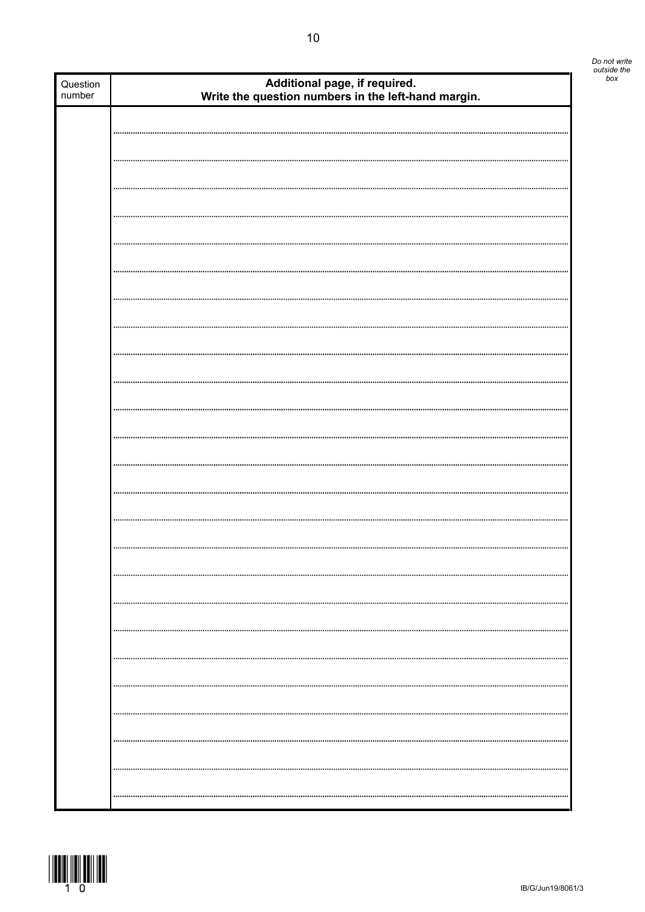| Question<br>number | Additional page, if required.<br>Write the question numbers in the left-hand margin. | bo |
|--------------------|--------------------------------------------------------------------------------------|----|
|                    |                                                                                      |    |
|                    |                                                                                      |    |
|                    |                                                                                      |    |
|                    |                                                                                      |    |
|                    |                                                                                      |    |
|                    |                                                                                      |    |
|                    |                                                                                      |    |
|                    |                                                                                      |    |
|                    |                                                                                      |    |
|                    |                                                                                      |    |
|                    |                                                                                      |    |
|                    |                                                                                      |    |
|                    |                                                                                      |    |
|                    |                                                                                      |    |
|                    |                                                                                      |    |
|                    |                                                                                      |    |
|                    |                                                                                      |    |
|                    |                                                                                      |    |
|                    |                                                                                      |    |
|                    |                                                                                      |    |
|                    |                                                                                      |    |
|                    |                                                                                      |    |
|                    |                                                                                      |    |
|                    |                                                                                      |    |
|                    |                                                                                      |    |
|                    |                                                                                      |    |
|                    |                                                                                      |    |
|                    |                                                                                      |    |
|                    |                                                                                      |    |
|                    |                                                                                      |    |
|                    |                                                                                      |    |
|                    |                                                                                      |    |
|                    |                                                                                      |    |
|                    |                                                                                      |    |
|                    |                                                                                      |    |
|                    |                                                                                      |    |



*Do not write outside the*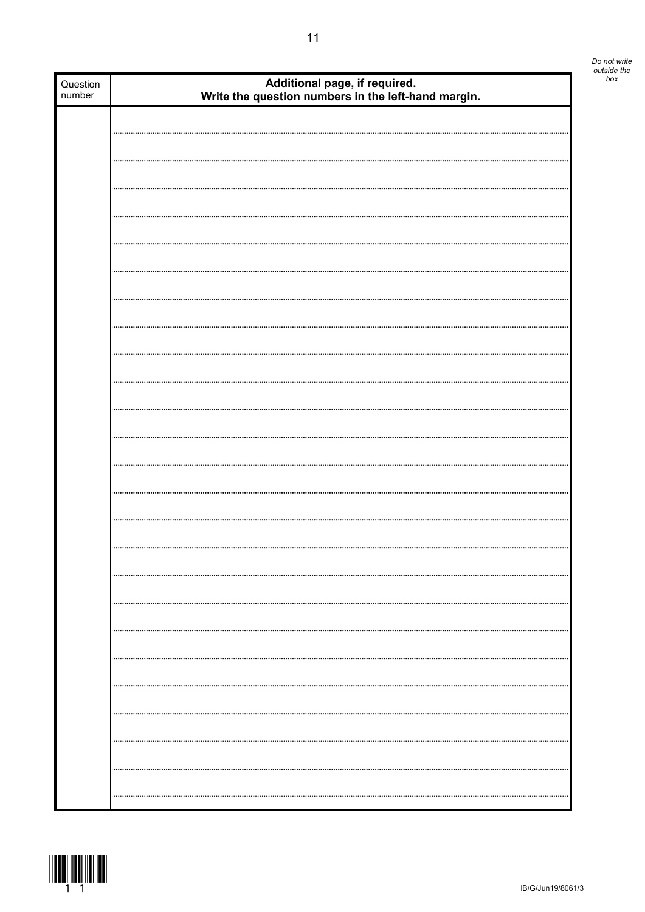| Question<br>number | Additional page, if required.<br>Write the question numbers in the left-hand margin. |  |  |  |
|--------------------|--------------------------------------------------------------------------------------|--|--|--|
|                    |                                                                                      |  |  |  |
|                    |                                                                                      |  |  |  |
|                    |                                                                                      |  |  |  |
|                    |                                                                                      |  |  |  |
|                    |                                                                                      |  |  |  |
|                    |                                                                                      |  |  |  |
|                    |                                                                                      |  |  |  |
|                    |                                                                                      |  |  |  |
|                    |                                                                                      |  |  |  |
|                    |                                                                                      |  |  |  |
|                    |                                                                                      |  |  |  |
|                    |                                                                                      |  |  |  |
|                    |                                                                                      |  |  |  |
|                    |                                                                                      |  |  |  |
|                    |                                                                                      |  |  |  |
|                    |                                                                                      |  |  |  |
|                    |                                                                                      |  |  |  |
|                    |                                                                                      |  |  |  |
|                    |                                                                                      |  |  |  |
|                    |                                                                                      |  |  |  |
|                    |                                                                                      |  |  |  |
|                    |                                                                                      |  |  |  |
|                    |                                                                                      |  |  |  |
|                    |                                                                                      |  |  |  |
|                    |                                                                                      |  |  |  |
|                    |                                                                                      |  |  |  |
|                    |                                                                                      |  |  |  |
|                    |                                                                                      |  |  |  |
|                    |                                                                                      |  |  |  |
|                    |                                                                                      |  |  |  |
|                    |                                                                                      |  |  |  |
|                    |                                                                                      |  |  |  |
|                    |                                                                                      |  |  |  |
|                    |                                                                                      |  |  |  |



*Do not write outside the*